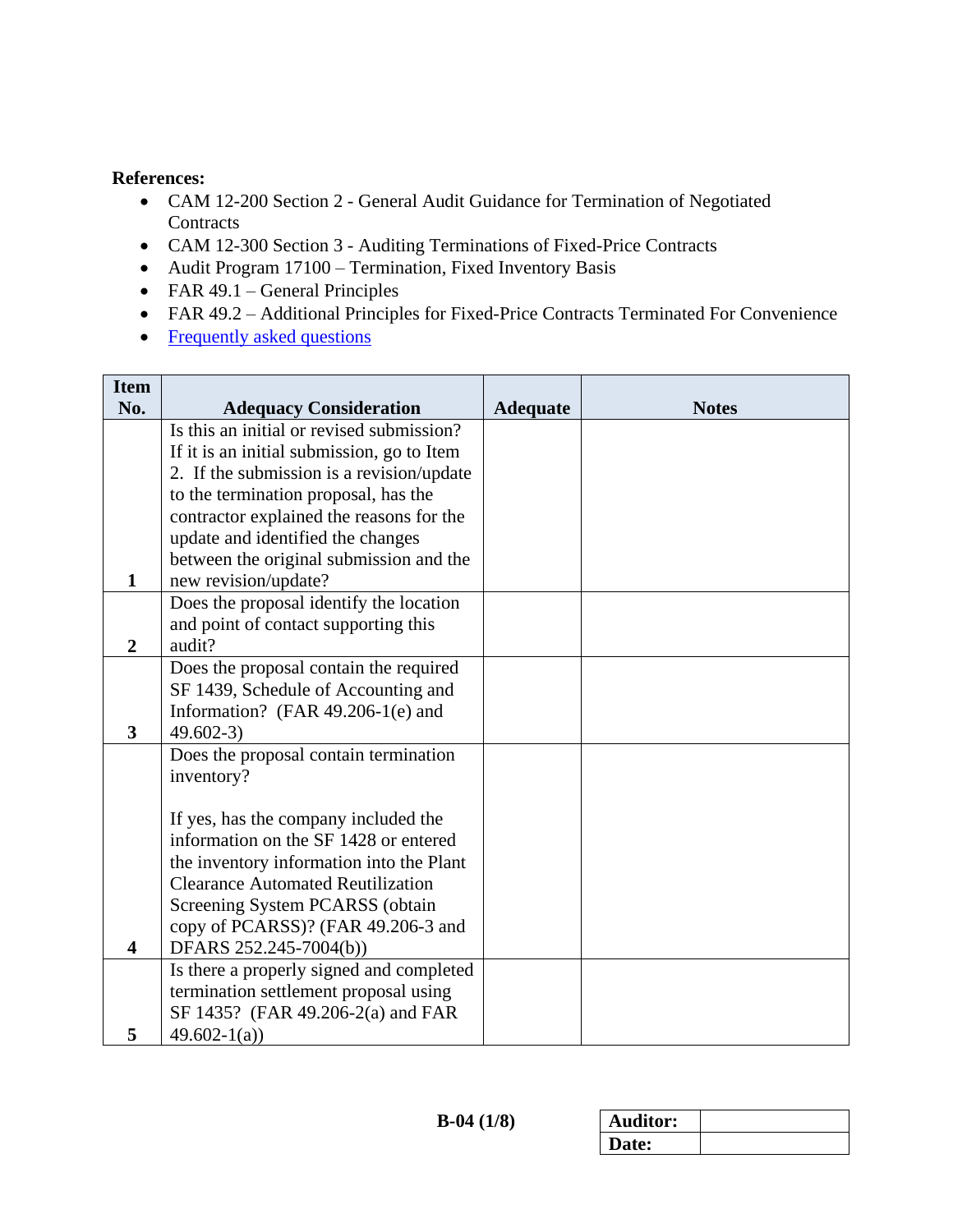## **References:**

- CAM 12-200 Section 2 General Audit Guidance for Termination of Negotiated **Contracts**
- CAM 12-300 Section 3 Auditing Terminations of Fixed-Price Contracts
- Audit Program 17100 Termination, Fixed Inventory Basis
- FAR  $49.1$  General Principles
- FAR 49.2 Additional Principles for Fixed-Price Contracts Terminated For Convenience
- <span id="page-0-0"></span>• [Frequently asked questions](#page-6-0)

| <b>Item</b>                  |                                                                                                                                                                     |                 |              |
|------------------------------|---------------------------------------------------------------------------------------------------------------------------------------------------------------------|-----------------|--------------|
| No.                          | <b>Adequacy Consideration</b>                                                                                                                                       | <b>Adequate</b> | <b>Notes</b> |
|                              | Is this an initial or revised submission?                                                                                                                           |                 |              |
|                              | If it is an initial submission, go to Item                                                                                                                          |                 |              |
|                              | 2. If the submission is a revision/update                                                                                                                           |                 |              |
|                              | to the termination proposal, has the                                                                                                                                |                 |              |
|                              | contractor explained the reasons for the                                                                                                                            |                 |              |
|                              | update and identified the changes                                                                                                                                   |                 |              |
|                              | between the original submission and the                                                                                                                             |                 |              |
| $\mathbf{1}$                 | new revision/update?                                                                                                                                                |                 |              |
|                              | Does the proposal identify the location                                                                                                                             |                 |              |
|                              | and point of contact supporting this                                                                                                                                |                 |              |
| $\overline{2}$               | audit?                                                                                                                                                              |                 |              |
|                              | Does the proposal contain the required                                                                                                                              |                 |              |
|                              | SF 1439, Schedule of Accounting and                                                                                                                                 |                 |              |
|                              | Information? (FAR 49.206-1(e) and                                                                                                                                   |                 |              |
| $\mathbf{3}$                 | $49.602-3$                                                                                                                                                          |                 |              |
|                              | Does the proposal contain termination                                                                                                                               |                 |              |
|                              | inventory?                                                                                                                                                          |                 |              |
|                              |                                                                                                                                                                     |                 |              |
|                              | If yes, has the company included the                                                                                                                                |                 |              |
|                              | information on the SF 1428 or entered                                                                                                                               |                 |              |
|                              | the inventory information into the Plant<br><b>Clearance Automated Reutilization</b>                                                                                |                 |              |
|                              |                                                                                                                                                                     |                 |              |
|                              | Screening System PCARSS (obtain<br>copy of PCARSS)? (FAR 49.206-3 and                                                                                               |                 |              |
|                              |                                                                                                                                                                     |                 |              |
|                              |                                                                                                                                                                     |                 |              |
|                              |                                                                                                                                                                     |                 |              |
|                              |                                                                                                                                                                     |                 |              |
|                              |                                                                                                                                                                     |                 |              |
| $\overline{\mathbf{4}}$<br>5 | DFARS 252.245-7004(b))<br>Is there a properly signed and completed<br>termination settlement proposal using<br>SF 1435? (FAR 49.206-2(a) and FAR<br>$49.602 - 1(a)$ |                 |              |

| <b>Auditor:</b> |  |
|-----------------|--|
| Date:           |  |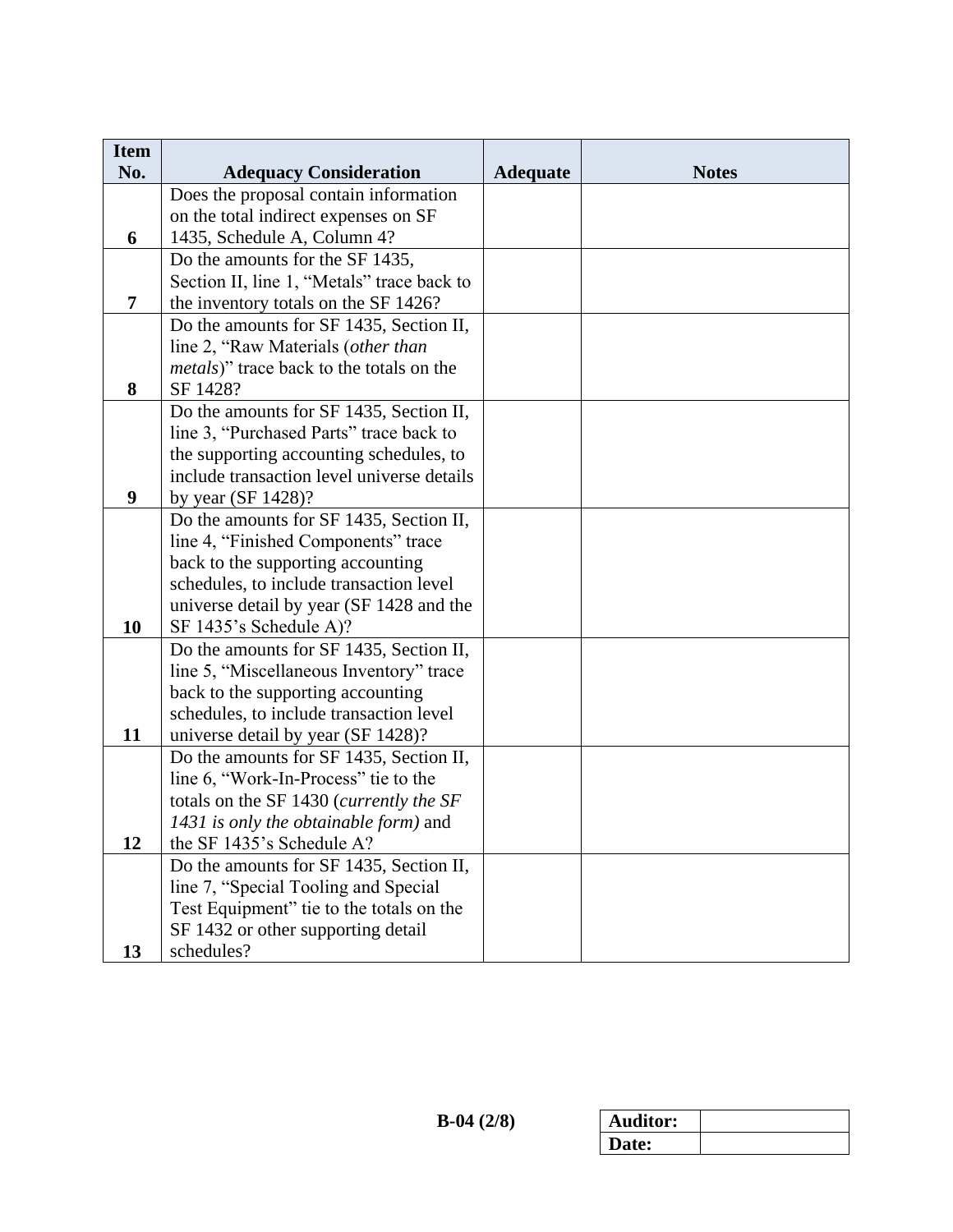| <b>Item</b>    |                                                  |                 |              |
|----------------|--------------------------------------------------|-----------------|--------------|
| No.            | <b>Adequacy Consideration</b>                    | <b>Adequate</b> | <b>Notes</b> |
|                | Does the proposal contain information            |                 |              |
|                | on the total indirect expenses on SF             |                 |              |
| 6              | 1435, Schedule A, Column 4?                      |                 |              |
|                | Do the amounts for the SF 1435,                  |                 |              |
|                | Section II, line 1, "Metals" trace back to       |                 |              |
| $\overline{7}$ | the inventory totals on the SF 1426?             |                 |              |
|                | Do the amounts for SF 1435, Section II,          |                 |              |
|                | line 2, "Raw Materials (other than               |                 |              |
|                | <i>metals</i> )" trace back to the totals on the |                 |              |
| 8              | SF 1428?                                         |                 |              |
|                | Do the amounts for SF 1435, Section II,          |                 |              |
|                | line 3, "Purchased Parts" trace back to          |                 |              |
|                | the supporting accounting schedules, to          |                 |              |
|                | include transaction level universe details       |                 |              |
| 9              | by year $(SF 1428)$ ?                            |                 |              |
|                | Do the amounts for SF 1435, Section II,          |                 |              |
|                | line 4, "Finished Components" trace              |                 |              |
|                | back to the supporting accounting                |                 |              |
|                | schedules, to include transaction level          |                 |              |
|                | universe detail by year (SF 1428 and the         |                 |              |
| 10             | SF 1435's Schedule A)?                           |                 |              |
|                | Do the amounts for SF 1435, Section II,          |                 |              |
|                | line 5, "Miscellaneous Inventory" trace          |                 |              |
|                | back to the supporting accounting                |                 |              |
|                | schedules, to include transaction level          |                 |              |
| 11             | universe detail by year (SF 1428)?               |                 |              |
|                | Do the amounts for SF 1435, Section II,          |                 |              |
|                | line 6, "Work-In-Process" tie to the             |                 |              |
|                | totals on the SF 1430 (currently the SF          |                 |              |
|                | 1431 is only the obtainable form) and            |                 |              |
| 12             | the SF 1435's Schedule A?                        |                 |              |
|                | Do the amounts for SF 1435, Section II,          |                 |              |
|                | line 7, "Special Tooling and Special             |                 |              |
|                | Test Equipment" tie to the totals on the         |                 |              |
|                | SF 1432 or other supporting detail               |                 |              |
| 13             | schedules?                                       |                 |              |

| <b>Auditor:</b> |  |
|-----------------|--|
| Date:           |  |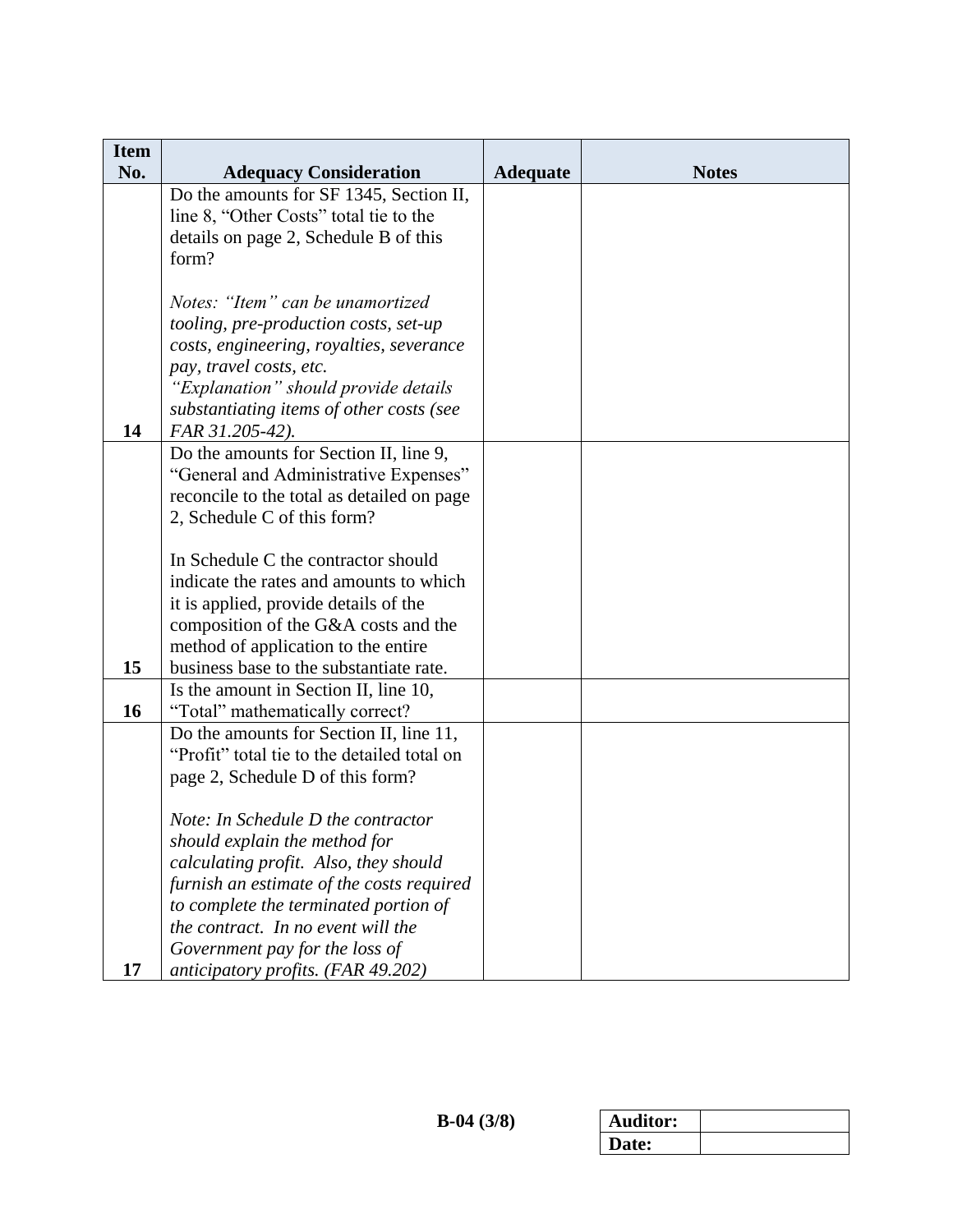| <b>Item</b> |                                                                                |                 |              |
|-------------|--------------------------------------------------------------------------------|-----------------|--------------|
| No.         | <b>Adequacy Consideration</b>                                                  | <b>Adequate</b> | <b>Notes</b> |
|             | Do the amounts for SF 1345, Section II,                                        |                 |              |
|             | line 8, "Other Costs" total tie to the                                         |                 |              |
|             | details on page 2, Schedule B of this                                          |                 |              |
|             | form?                                                                          |                 |              |
|             | Notes: "Item" can be unamortized                                               |                 |              |
|             | tooling, pre-production costs, set-up                                          |                 |              |
|             | costs, engineering, royalties, severance                                       |                 |              |
|             | pay, travel costs, etc.                                                        |                 |              |
|             | "Explanation" should provide details                                           |                 |              |
|             | substantiating items of other costs (see                                       |                 |              |
| 14          | FAR 31.205-42).                                                                |                 |              |
|             | Do the amounts for Section II, line 9,                                         |                 |              |
|             | "General and Administrative Expenses"                                          |                 |              |
|             | reconcile to the total as detailed on page                                     |                 |              |
|             | 2, Schedule C of this form?                                                    |                 |              |
|             |                                                                                |                 |              |
|             | In Schedule C the contractor should                                            |                 |              |
|             | indicate the rates and amounts to which                                        |                 |              |
|             | it is applied, provide details of the                                          |                 |              |
|             | composition of the G&A costs and the                                           |                 |              |
| 15          | method of application to the entire<br>business base to the substantiate rate. |                 |              |
|             | Is the amount in Section II, line 10,                                          |                 |              |
| 16          | "Total" mathematically correct?                                                |                 |              |
|             | Do the amounts for Section II, line 11,                                        |                 |              |
|             | "Profit" total tie to the detailed total on                                    |                 |              |
|             | page 2, Schedule D of this form?                                               |                 |              |
|             |                                                                                |                 |              |
|             | Note: In Schedule D the contractor                                             |                 |              |
|             | should explain the method for                                                  |                 |              |
|             | calculating profit. Also, they should                                          |                 |              |
|             | furnish an estimate of the costs required                                      |                 |              |
|             | to complete the terminated portion of                                          |                 |              |
|             | the contract. In no event will the                                             |                 |              |
|             | Government pay for the loss of                                                 |                 |              |
| 17          | anticipatory profits. (FAR 49.202)                                             |                 |              |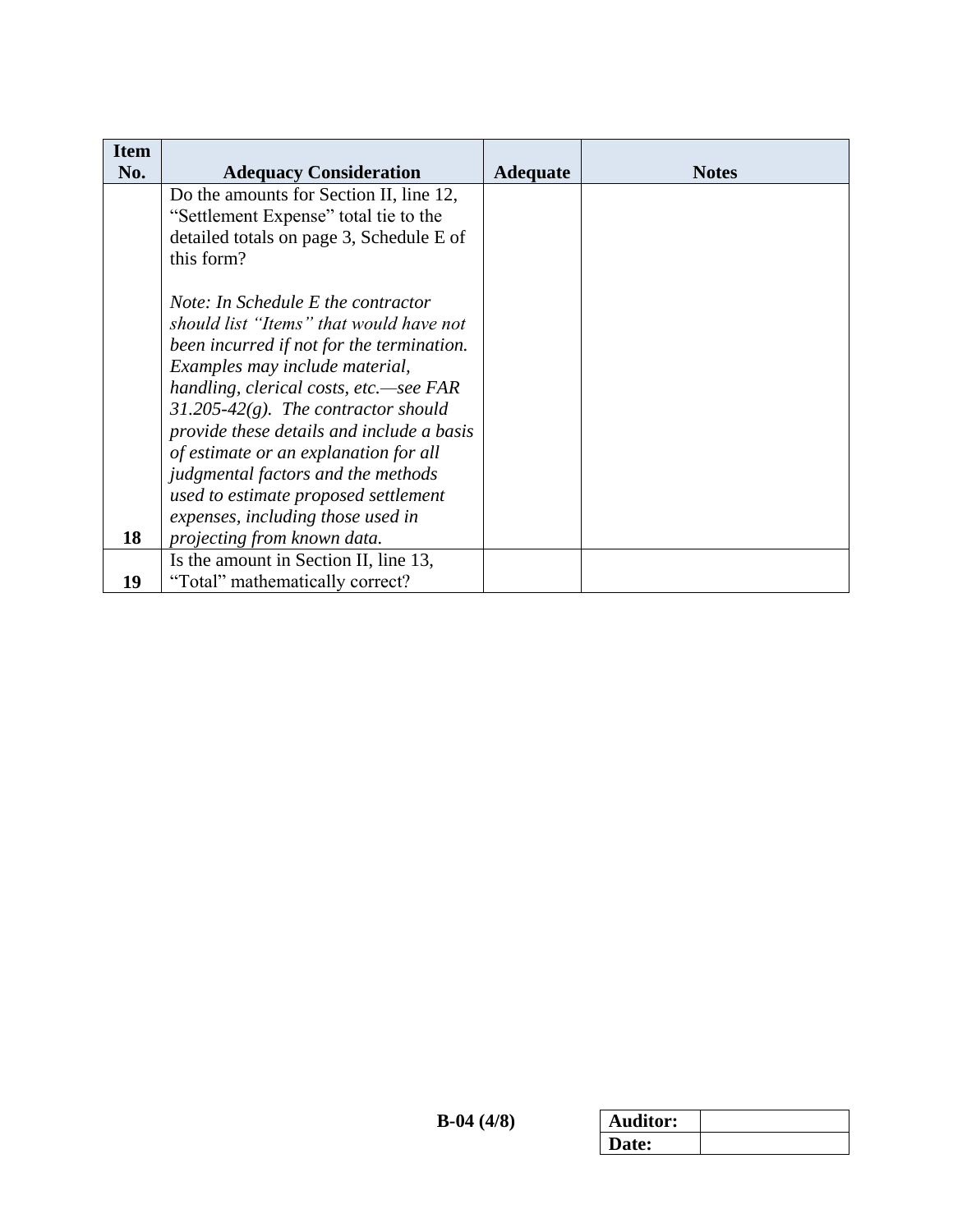| <b>Item</b> |                                           |                 |              |
|-------------|-------------------------------------------|-----------------|--------------|
| No.         | <b>Adequacy Consideration</b>             | <b>Adequate</b> | <b>Notes</b> |
|             | Do the amounts for Section II, line 12,   |                 |              |
|             | "Settlement Expense" total tie to the     |                 |              |
|             | detailed totals on page 3, Schedule E of  |                 |              |
|             | this form?                                |                 |              |
|             |                                           |                 |              |
|             | Note: In Schedule E the contractor        |                 |              |
|             | should list "Items" that would have not   |                 |              |
|             | been incurred if not for the termination. |                 |              |
|             | Examples may include material,            |                 |              |
|             | handling, clerical costs, etc.—see FAR    |                 |              |
|             | $31.205 - 42(g)$ . The contractor should  |                 |              |
|             | provide these details and include a basis |                 |              |
|             | of estimate or an explanation for all     |                 |              |
|             | judgmental factors and the methods        |                 |              |
|             | used to estimate proposed settlement      |                 |              |
|             | expenses, including those used in         |                 |              |
| 18          | projecting from known data.               |                 |              |
|             | Is the amount in Section II, line 13,     |                 |              |
| 19          | "Total" mathematically correct?           |                 |              |

| <b>Auditor:</b> |  |
|-----------------|--|
| Date:           |  |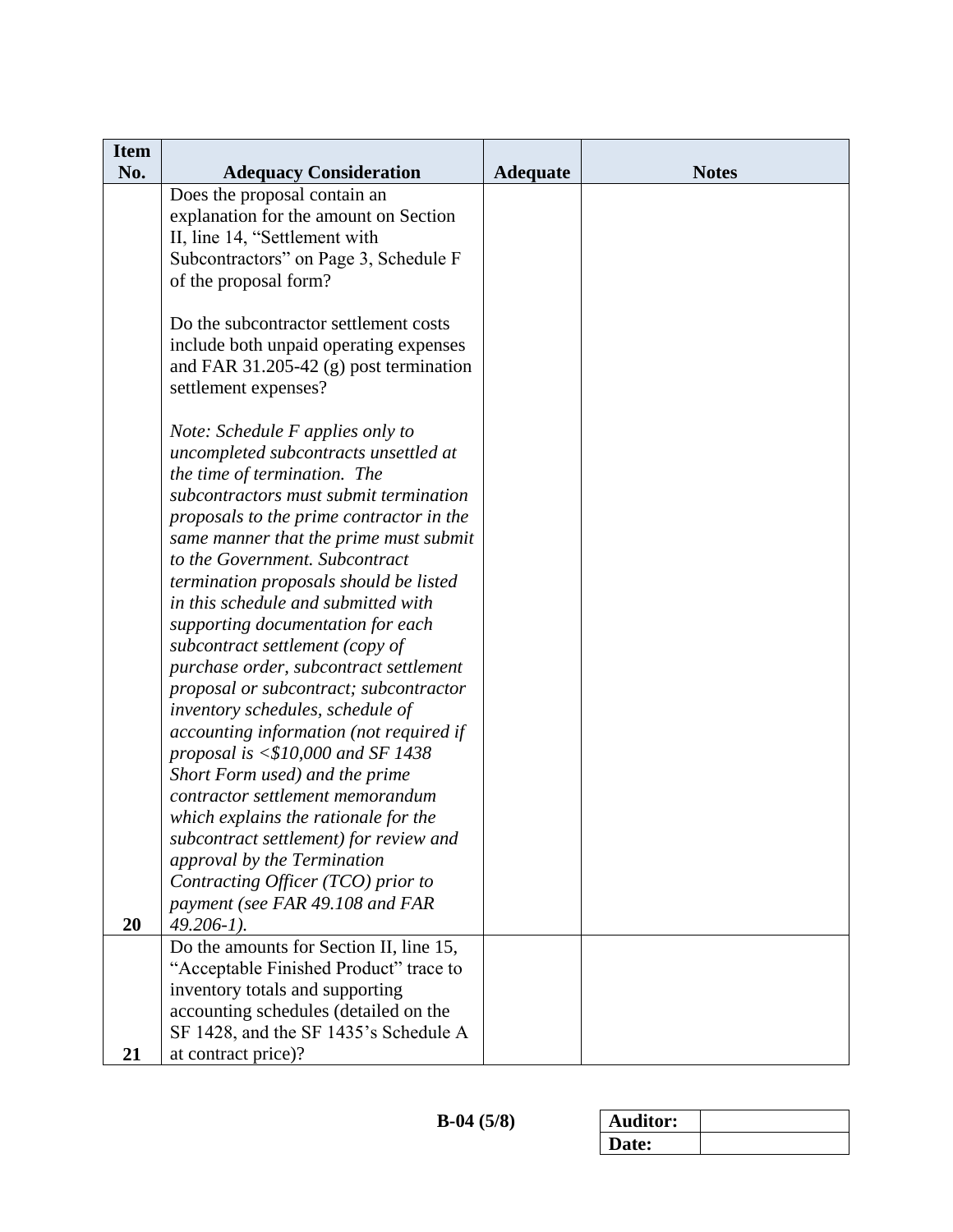| <b>Item</b><br>No. | <b>Adequacy Consideration</b>                                         | <b>Adequate</b> | <b>Notes</b> |
|--------------------|-----------------------------------------------------------------------|-----------------|--------------|
|                    | Does the proposal contain an                                          |                 |              |
|                    | explanation for the amount on Section                                 |                 |              |
|                    | II, line 14, "Settlement with                                         |                 |              |
|                    | Subcontractors" on Page 3, Schedule F                                 |                 |              |
|                    | of the proposal form?                                                 |                 |              |
|                    |                                                                       |                 |              |
|                    | Do the subcontractor settlement costs                                 |                 |              |
|                    | include both unpaid operating expenses                                |                 |              |
|                    | and FAR 31.205-42 $(g)$ post termination<br>settlement expenses?      |                 |              |
|                    |                                                                       |                 |              |
|                    | Note: Schedule F applies only to                                      |                 |              |
|                    | uncompleted subcontracts unsettled at                                 |                 |              |
|                    | the time of termination. The                                          |                 |              |
|                    | subcontractors must submit termination                                |                 |              |
|                    | proposals to the prime contractor in the                              |                 |              |
|                    | same manner that the prime must submit                                |                 |              |
|                    | to the Government. Subcontract                                        |                 |              |
|                    | termination proposals should be listed                                |                 |              |
|                    | in this schedule and submitted with                                   |                 |              |
|                    | supporting documentation for each<br>subcontract settlement (copy of  |                 |              |
|                    | purchase order, subcontract settlement                                |                 |              |
|                    | proposal or subcontract; subcontractor                                |                 |              |
|                    | inventory schedules, schedule of                                      |                 |              |
|                    | accounting information (not required if                               |                 |              |
|                    | proposal is $< $10,000$ and SF 1438                                   |                 |              |
|                    | Short Form used) and the prime                                        |                 |              |
|                    | contractor settlement memorandum                                      |                 |              |
|                    | which explains the rationale for the                                  |                 |              |
|                    | subcontract settlement) for review and                                |                 |              |
|                    | approval by the Termination                                           |                 |              |
|                    | Contracting Officer (TCO) prior to<br>payment (see FAR 49.108 and FAR |                 |              |
| 20                 | $49.206 - 1$ ).                                                       |                 |              |
|                    | Do the amounts for Section II, line 15,                               |                 |              |
|                    | "Acceptable Finished Product" trace to                                |                 |              |
|                    | inventory totals and supporting                                       |                 |              |
|                    | accounting schedules (detailed on the                                 |                 |              |
|                    | SF 1428, and the SF 1435's Schedule A                                 |                 |              |
| 21                 | at contract price)?                                                   |                 |              |

| <b>\uditor:</b> |  |
|-----------------|--|
| Date:           |  |
|                 |  |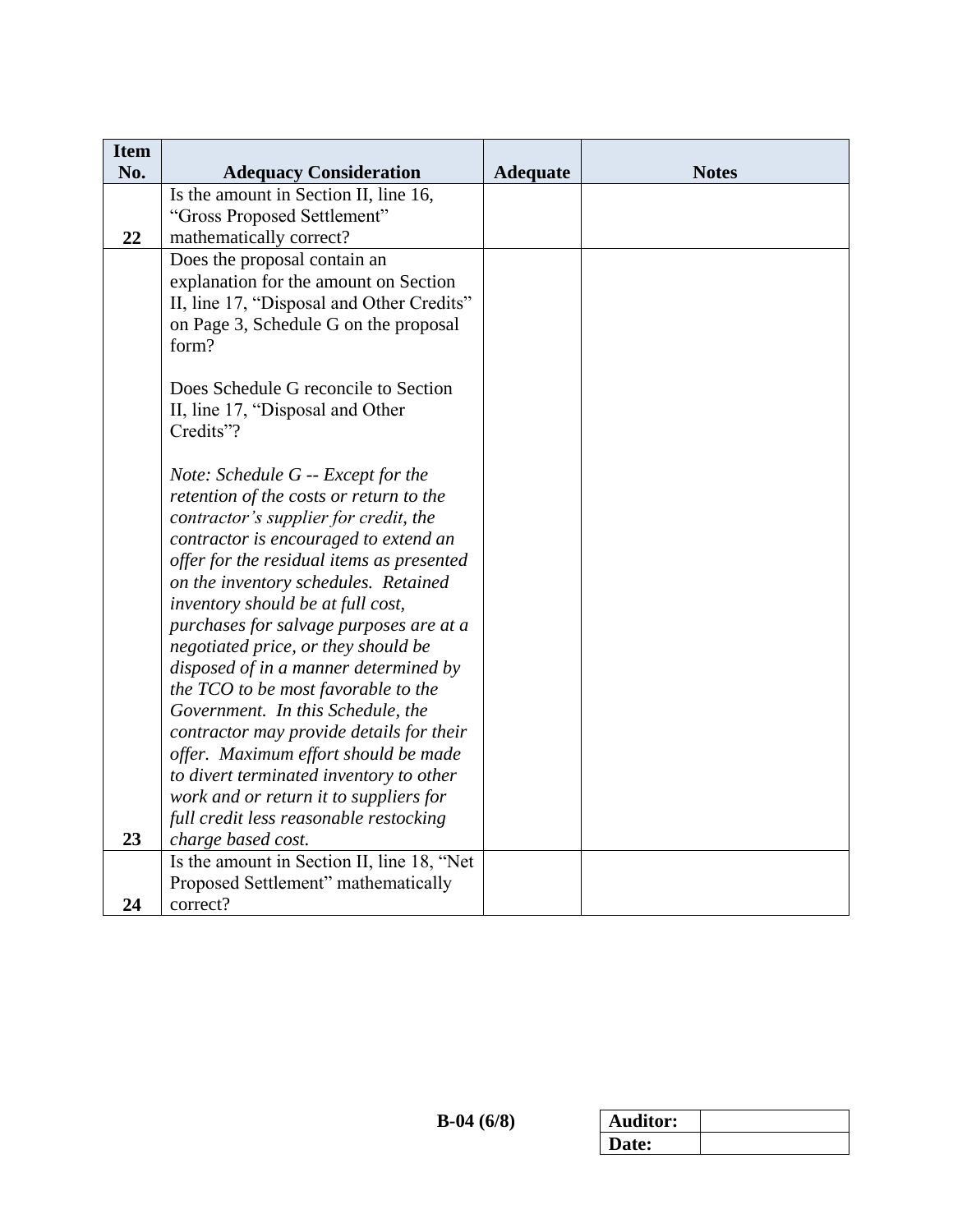| <b>Item</b> |                                                                                    |                 |              |
|-------------|------------------------------------------------------------------------------------|-----------------|--------------|
| No.         | <b>Adequacy Consideration</b>                                                      | <b>Adequate</b> | <b>Notes</b> |
|             | Is the amount in Section II, line 16,                                              |                 |              |
|             | "Gross Proposed Settlement"                                                        |                 |              |
| 22          | mathematically correct?                                                            |                 |              |
|             | Does the proposal contain an                                                       |                 |              |
|             | explanation for the amount on Section                                              |                 |              |
|             | II, line 17, "Disposal and Other Credits"<br>on Page 3, Schedule G on the proposal |                 |              |
|             | form?                                                                              |                 |              |
|             |                                                                                    |                 |              |
|             | Does Schedule G reconcile to Section                                               |                 |              |
|             | II, line 17, "Disposal and Other                                                   |                 |              |
|             | Credits"?                                                                          |                 |              |
|             |                                                                                    |                 |              |
|             | Note: Schedule G -- Except for the                                                 |                 |              |
|             | retention of the costs or return to the                                            |                 |              |
|             | contractor's supplier for credit, the                                              |                 |              |
|             | contractor is encouraged to extend an                                              |                 |              |
|             | offer for the residual items as presented                                          |                 |              |
|             | on the inventory schedules. Retained                                               |                 |              |
|             | inventory should be at full cost,                                                  |                 |              |
|             | purchases for salvage purposes are at a                                            |                 |              |
|             | negotiated price, or they should be                                                |                 |              |
|             | disposed of in a manner determined by                                              |                 |              |
|             | the TCO to be most favorable to the<br>Government. In this Schedule, the           |                 |              |
|             | contractor may provide details for their                                           |                 |              |
|             | offer. Maximum effort should be made                                               |                 |              |
|             | to divert terminated inventory to other                                            |                 |              |
|             | work and or return it to suppliers for                                             |                 |              |
|             | full credit less reasonable restocking                                             |                 |              |
| 23          | charge based cost.                                                                 |                 |              |
|             | Is the amount in Section II, line 18, "Net                                         |                 |              |
|             | Proposed Settlement" mathematically                                                |                 |              |
| 24          | correct?                                                                           |                 |              |

| Auditor: |  |
|----------|--|
| Date:    |  |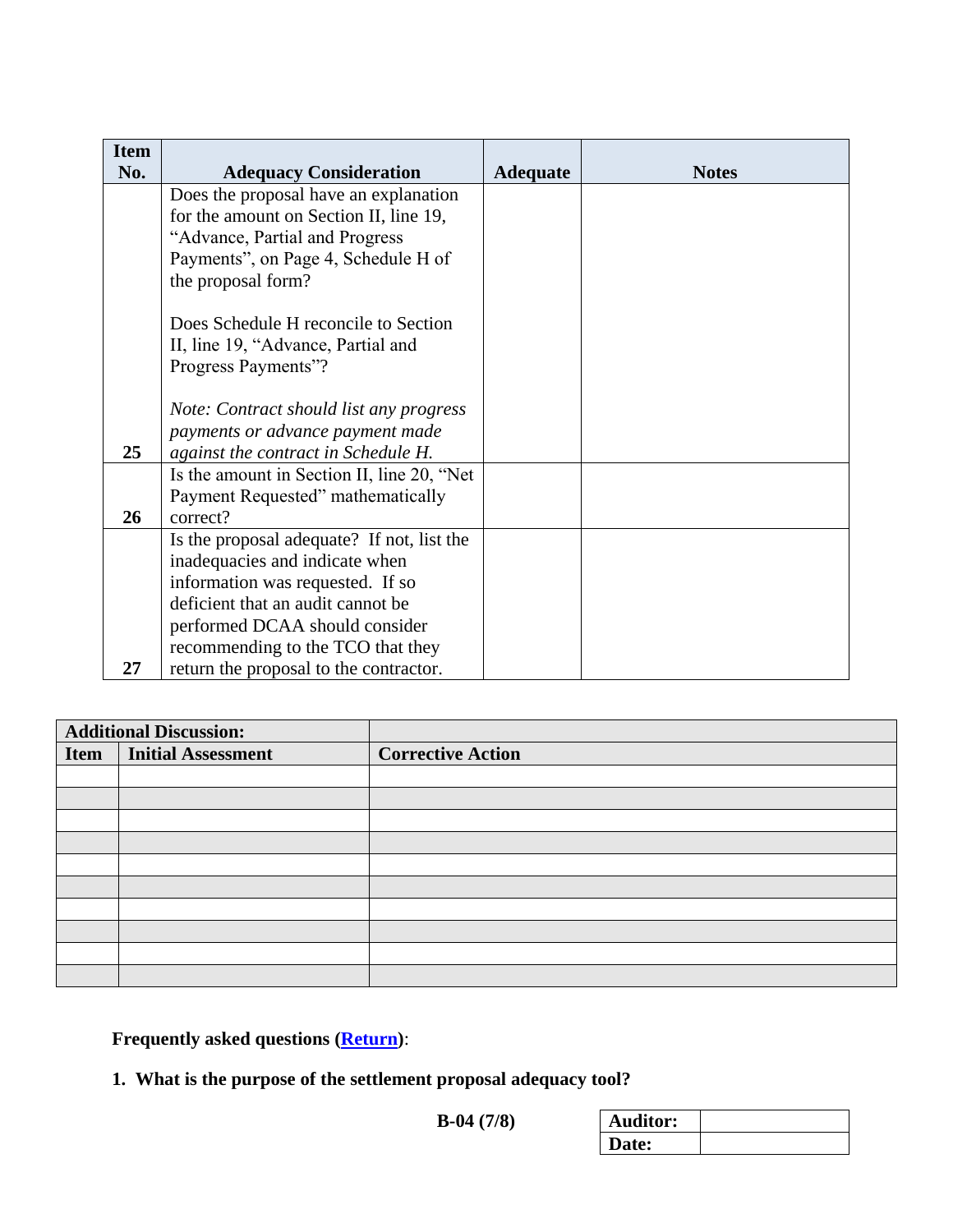| <b>Item</b> |                                            |                 |              |
|-------------|--------------------------------------------|-----------------|--------------|
| No.         | <b>Adequacy Consideration</b>              | <b>Adequate</b> | <b>Notes</b> |
|             | Does the proposal have an explanation      |                 |              |
|             | for the amount on Section II, line 19,     |                 |              |
|             | "Advance, Partial and Progress             |                 |              |
|             | Payments", on Page 4, Schedule H of        |                 |              |
|             | the proposal form?                         |                 |              |
|             | Does Schedule H reconcile to Section       |                 |              |
|             | II, line 19, "Advance, Partial and         |                 |              |
|             | Progress Payments"?                        |                 |              |
|             |                                            |                 |              |
|             | Note: Contract should list any progress    |                 |              |
|             | payments or advance payment made           |                 |              |
| 25          | against the contract in Schedule H.        |                 |              |
|             | Is the amount in Section II, line 20, "Net |                 |              |
|             | Payment Requested" mathematically          |                 |              |
| 26          | correct?                                   |                 |              |
|             | Is the proposal adequate? If not, list the |                 |              |
|             | inadequacies and indicate when             |                 |              |
|             | information was requested. If so           |                 |              |
|             | deficient that an audit cannot be          |                 |              |
|             | performed DCAA should consider             |                 |              |
|             | recommending to the TCO that they          |                 |              |
| 27          | return the proposal to the contractor.     |                 |              |

| <b>Additional Discussion:</b> |                           |                          |
|-------------------------------|---------------------------|--------------------------|
| <b>Item</b>                   | <b>Initial Assessment</b> | <b>Corrective Action</b> |
|                               |                           |                          |
|                               |                           |                          |
|                               |                           |                          |
|                               |                           |                          |
|                               |                           |                          |
|                               |                           |                          |
|                               |                           |                          |
|                               |                           |                          |
|                               |                           |                          |
|                               |                           |                          |

<span id="page-6-0"></span>**Frequently asked questions [\(Return\)](#page-0-0)**:

**1. What is the purpose of the settlement proposal adequacy tool?**

**B-04** (7/8)

| ditor: |  |
|--------|--|
| 'ate:  |  |